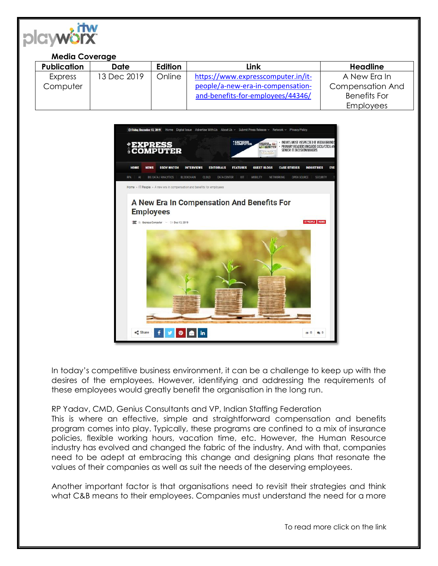

## **Media Coverage**

| <b>Publication</b> | Date        | Edition | Link                               | <b>Headline</b>         |
|--------------------|-------------|---------|------------------------------------|-------------------------|
| Express            | 13 Dec 2019 | Online  | https://www.expresscomputer.in/it- | A New Era In            |
| Computer           |             |         | people/a-new-era-in-compensation-  | <b>Compensation And</b> |
|                    |             |         | and-benefits-for-employees/44346/  | <b>Benefits For</b>     |
|                    |             |         |                                    | <b>Employees</b>        |



In today's competitive business environment, it can be a challenge to keep up with the desires of the employees. However, identifying and addressing the requirements of these employees would greatly benefit the organisation in the long run.

## RP Yadav, CMD, Genius Consultants and VP, Indian Staffing Federation

This is where an effective, simple and straightforward compensation and benefits program comes into play. Typically, these programs are confined to a mix of insurance policies, flexible working hours, vacation time, etc. However, the Human Resource industry has evolved and changed the fabric of the industry. And with that, companies need to be adept at embracing this change and designing plans that resonate the values of their companies as well as suit the needs of the deserving employees.

Another important factor is that organisations need to revisit their strategies and think what C&B means to their employees. Companies must understand the need for a more

To read more click on the link